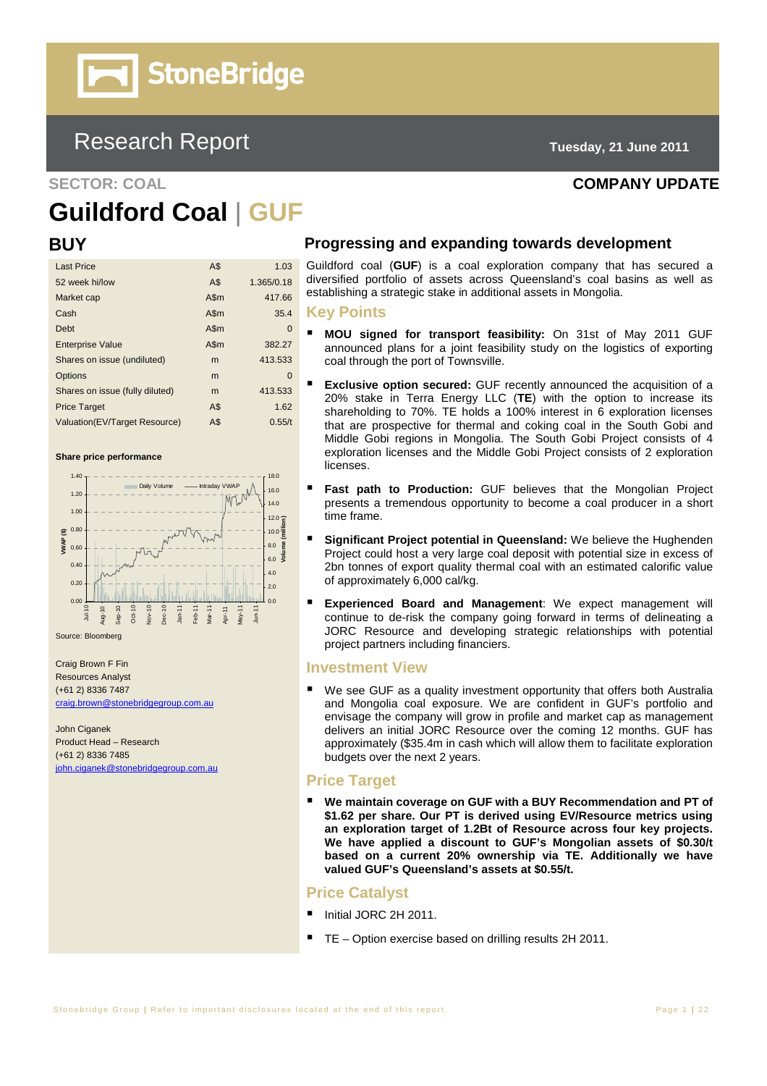# **StoneBridge**

# Research Report **Tuesday, 21 June 2011**

**SECTOR: COAL COMPANY UPDATE** 

# **Guildford Coal** | **GUF**

| <b>Last Price</b>               | A\$  | 1.03       |
|---------------------------------|------|------------|
| 52 week hi/low                  | A\$  | 1.365/0.18 |
| Market cap                      | A\$m | 417.66     |
| Cash                            | A\$m | 35.4       |
| Debt                            | A\$m | 0          |
| <b>Enterprise Value</b>         | A\$m | 382.27     |
| Shares on issue (undiluted)     | m    | 413.533    |
| Options                         | m    | $\Omega$   |
| Shares on issue (fully diluted) | m    | 413.533    |
| <b>Price Target</b>             | A\$  | 1.62       |
| Valuation(EV/Target Resource)   | A\$  | 0.55/t     |

#### **Share price performance**



Craig Brown F Fin Resources Analyst (+61 2) 8336 7487 craig.brown@stonebridgegroup.com.au

John Ciganek Product Head – Research (+61 2) 8336 7485 john.ciganek@stonebridgegroup.com.au

#### **BUY Progressing and expanding towards development**

Guildford coal (GUF) is a coal exploration company that has secured a diversified portfolio of assets across Queensland's coal basins as well as establishing a strategic stake in additional assets in Mongolia.

#### **Key Points**

- **MOU signed for transport feasibility:** On 31st of May 2011 GUF announced plans for a joint feasibility study on the logistics of exporting coal through the port of Townsville.
- **Exclusive option secured:** GUF recently announced the acquisition of a 20% stake in Terra Energy LLC (**TE**) with the option to increase its shareholding to 70%. TE holds a 100% interest in 6 exploration licenses that are prospective for thermal and coking coal in the South Gobi and Middle Gobi regions in Mongolia. The South Gobi Project consists of 4 exploration licenses and the Middle Gobi Project consists of 2 exploration licenses.
- **Fast path to Production:** GUF believes that the Mongolian Project presents a tremendous opportunity to become a coal producer in a short time frame.
- **Significant Project potential in Queensland:** We believe the Hughenden Project could host a very large coal deposit with potential size in excess of 2bn tonnes of export quality thermal coal with an estimated calorific value of approximately 6,000 cal/kg.
- **Experienced Board and Management**: We expect management will continue to de-risk the company going forward in terms of delineating a JORC Resource and developing strategic relationships with potential project partners including financiers.

#### **Investment View**

■ We see GUF as a quality investment opportunity that offers both Australia and Mongolia coal exposure. We are confident in GUF's portfolio and envisage the company will grow in profile and market cap as management delivers an initial JORC Resource over the coming 12 months. GUF has approximately (\$35.4m in cash which will allow them to facilitate exploration budgets over the next 2 years.

#### **Price Target**

 **We maintain coverage on GUF with a BUY Recommendation and PT of \$1.62 per share. Our PT is derived using EV/Resource metrics using an exploration target of 1.2Bt of Resource across four key projects. We have applied a discount to GUF's Mongolian assets of \$0.30/t based on a current 20% ownership via TE. Additionally we have valued GUF's Queensland's assets at \$0.55/t.** 

#### **Price Catalyst**

- Initial JORC 2H 2011.
- TE Option exercise based on drilling results 2H 2011.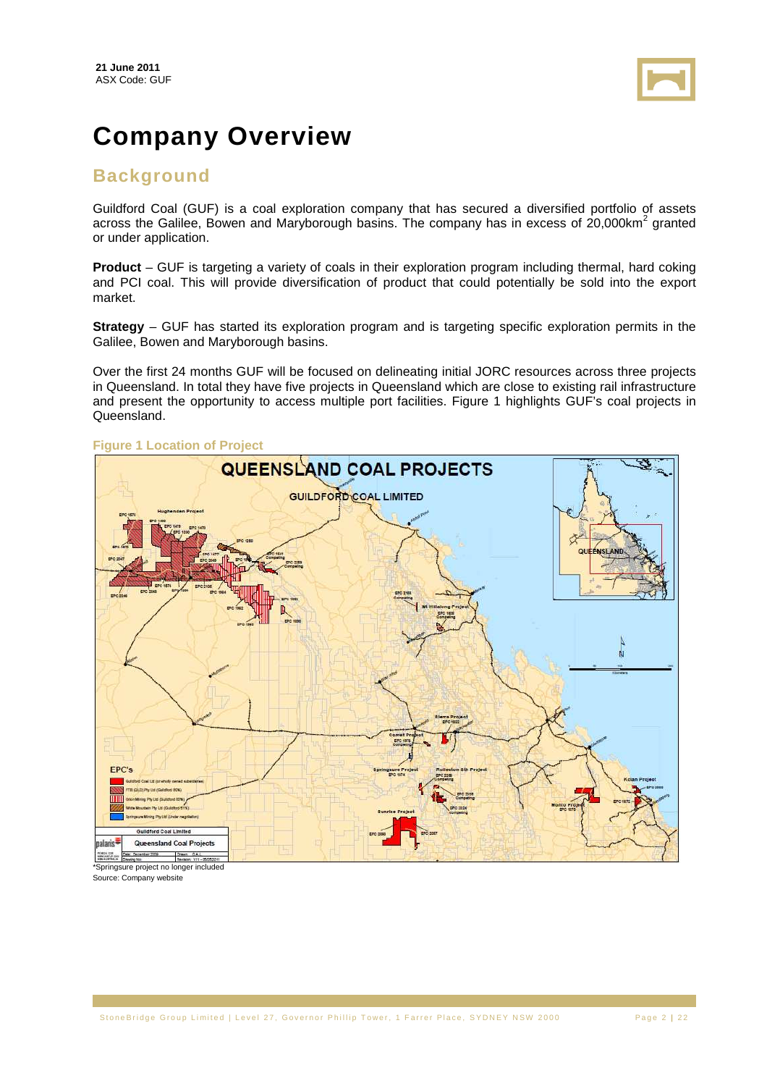

# **Company Overview**

### **Background**

Guildford Coal (GUF) is a coal exploration company that has secured a diversified portfolio of assets across the Galilee, Bowen and Maryborough basins. The company has in excess of 20,000km<sup>2</sup> granted or under application.

**Product** – GUF is targeting a variety of coals in their exploration program including thermal, hard coking and PCI coal. This will provide diversification of product that could potentially be sold into the export market.

**Strategy** – GUF has started its exploration program and is targeting specific exploration permits in the Galilee, Bowen and Maryborough basins.

Over the first 24 months GUF will be focused on delineating initial JORC resources across three projects in Queensland. In total they have five projects in Queensland which are close to existing rail infrastructure and present the opportunity to access multiple port facilities. Figure 1 highlights GUF's coal projects in Queensland.



#### **Figure 1 Location of Project**

Source: Company website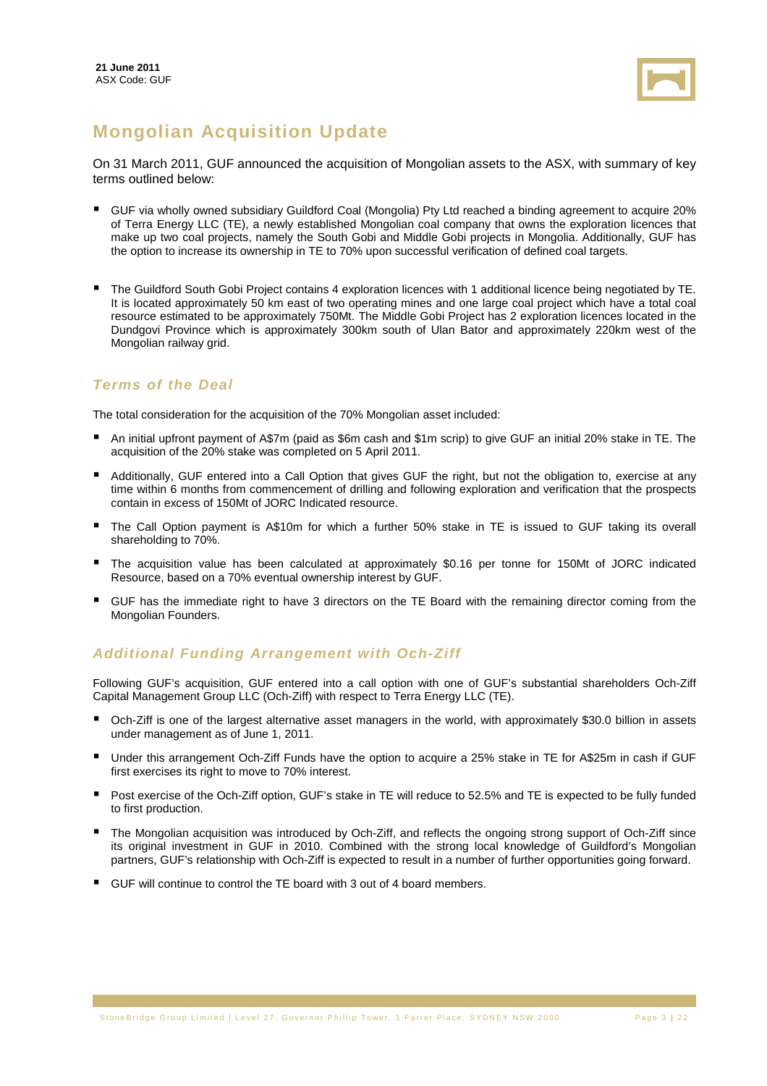

# **Mongolian Acquisition Update**

On 31 March 2011, GUF announced the acquisition of Mongolian assets to the ASX, with summary of key terms outlined below:

- GUF via wholly owned subsidiary Guildford Coal (Mongolia) Pty Ltd reached a binding agreement to acquire 20% of Terra Energy LLC (TE), a newly established Mongolian coal company that owns the exploration licences that make up two coal projects, namely the South Gobi and Middle Gobi projects in Mongolia. Additionally, GUF has the option to increase its ownership in TE to 70% upon successful verification of defined coal targets.
- The Guildford South Gobi Project contains 4 exploration licences with 1 additional licence being negotiated by TE. It is located approximately 50 km east of two operating mines and one large coal project which have a total coal resource estimated to be approximately 750Mt. The Middle Gobi Project has 2 exploration licences located in the Dundgovi Province which is approximately 300km south of Ulan Bator and approximately 220km west of the Mongolian railway grid.

### **Terms of the Deal**

The total consideration for the acquisition of the 70% Mongolian asset included:

- An initial upfront payment of A\$7m (paid as \$6m cash and \$1m scrip) to give GUF an initial 20% stake in TE. The acquisition of the 20% stake was completed on 5 April 2011.
- Additionally, GUF entered into a Call Option that gives GUF the right, but not the obligation to, exercise at any time within 6 months from commencement of drilling and following exploration and verification that the prospects contain in excess of 150Mt of JORC Indicated resource.
- The Call Option payment is A\$10m for which a further 50% stake in TE is issued to GUF taking its overall shareholding to 70%.
- The acquisition value has been calculated at approximately \$0.16 per tonne for 150Mt of JORC indicated Resource, based on a 70% eventual ownership interest by GUF.
- GUF has the immediate right to have 3 directors on the TE Board with the remaining director coming from the Mongolian Founders.

### **Additional Funding Arrangement with Och-Ziff**

Following GUF's acquisition, GUF entered into a call option with one of GUF's substantial shareholders Och-Ziff Capital Management Group LLC (Och-Ziff) with respect to Terra Energy LLC (TE).

- Och-Ziff is one of the largest alternative asset managers in the world, with approximately \$30.0 billion in assets under management as of June 1, 2011.
- Under this arrangement Och-Ziff Funds have the option to acquire a 25% stake in TE for A\$25m in cash if GUF first exercises its right to move to 70% interest.
- Post exercise of the Och-Ziff option, GUF's stake in TE will reduce to 52.5% and TE is expected to be fully funded to first production.
- The Mongolian acquisition was introduced by Och-Ziff, and reflects the ongoing strong support of Och-Ziff since its original investment in GUF in 2010. Combined with the strong local knowledge of Guildford's Mongolian partners, GUF's relationship with Och-Ziff is expected to result in a number of further opportunities going forward.
- GUF will continue to control the TE board with 3 out of 4 board members.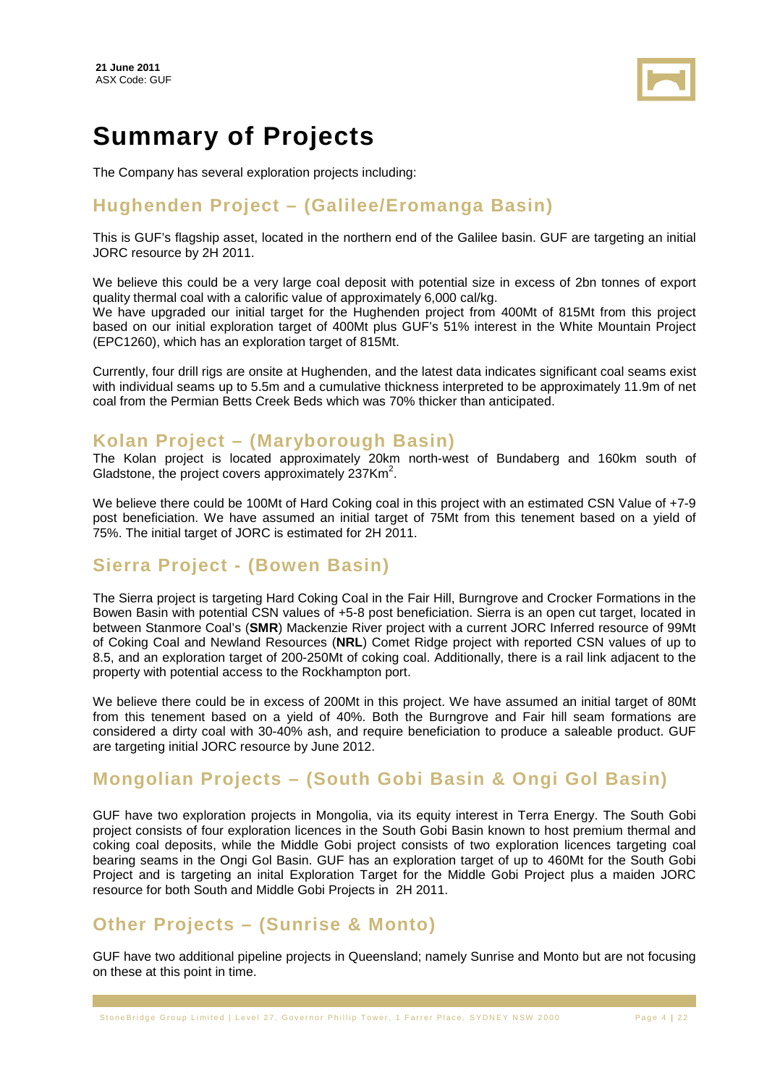

# **Summary of Projects**

The Company has several exploration projects including:

## **Hughenden Project – (Galilee/Eromanga Basin)**

This is GUF's flagship asset, located in the northern end of the Galilee basin. GUF are targeting an initial JORC resource by 2H 2011.

We believe this could be a very large coal deposit with potential size in excess of 2bn tonnes of export quality thermal coal with a calorific value of approximately 6,000 cal/kg.

We have upgraded our initial target for the Hughenden project from 400Mt of 815Mt from this project based on our initial exploration target of 400Mt plus GUF's 51% interest in the White Mountain Project (EPC1260), which has an exploration target of 815Mt.

Currently, four drill rigs are onsite at Hughenden, and the latest data indicates significant coal seams exist with individual seams up to 5.5m and a cumulative thickness interpreted to be approximately 11.9m of net coal from the Permian Betts Creek Beds which was 70% thicker than anticipated.

## **Kolan Project – (Maryborough Basin)**

The Kolan project is located approximately 20km north-west of Bundaberg and 160km south of Gladstone, the project covers approximately  $237$ Km<sup>2</sup>.

We believe there could be 100Mt of Hard Coking coal in this project with an estimated CSN Value of +7-9 post beneficiation. We have assumed an initial target of 75Mt from this tenement based on a yield of 75%. The initial target of JORC is estimated for 2H 2011.

### **Sierra Project - (Bowen Basin)**

The Sierra project is targeting Hard Coking Coal in the Fair Hill, Burngrove and Crocker Formations in the Bowen Basin with potential CSN values of +5-8 post beneficiation. Sierra is an open cut target, located in between Stanmore Coal's (**SMR**) Mackenzie River project with a current JORC Inferred resource of 99Mt of Coking Coal and Newland Resources (**NRL**) Comet Ridge project with reported CSN values of up to 8.5, and an exploration target of 200-250Mt of coking coal. Additionally, there is a rail link adjacent to the property with potential access to the Rockhampton port.

We believe there could be in excess of 200Mt in this project. We have assumed an initial target of 80Mt from this tenement based on a yield of 40%. Both the Burngrove and Fair hill seam formations are considered a dirty coal with 30-40% ash, and require beneficiation to produce a saleable product. GUF are targeting initial JORC resource by June 2012.

# **Mongolian Projects – (South Gobi Basin & Ongi Gol Basin)**

GUF have two exploration projects in Mongolia, via its equity interest in Terra Energy. The South Gobi project consists of four exploration licences in the South Gobi Basin known to host premium thermal and coking coal deposits, while the Middle Gobi project consists of two exploration licences targeting coal bearing seams in the Ongi Gol Basin. GUF has an exploration target of up to 460Mt for the South Gobi Project and is targeting an inital Exploration Target for the Middle Gobi Project plus a maiden JORC resource for both South and Middle Gobi Projects in 2H 2011.

# **Other Projects – (Sunrise & Monto)**

GUF have two additional pipeline projects in Queensland; namely Sunrise and Monto but are not focusing on these at this point in time.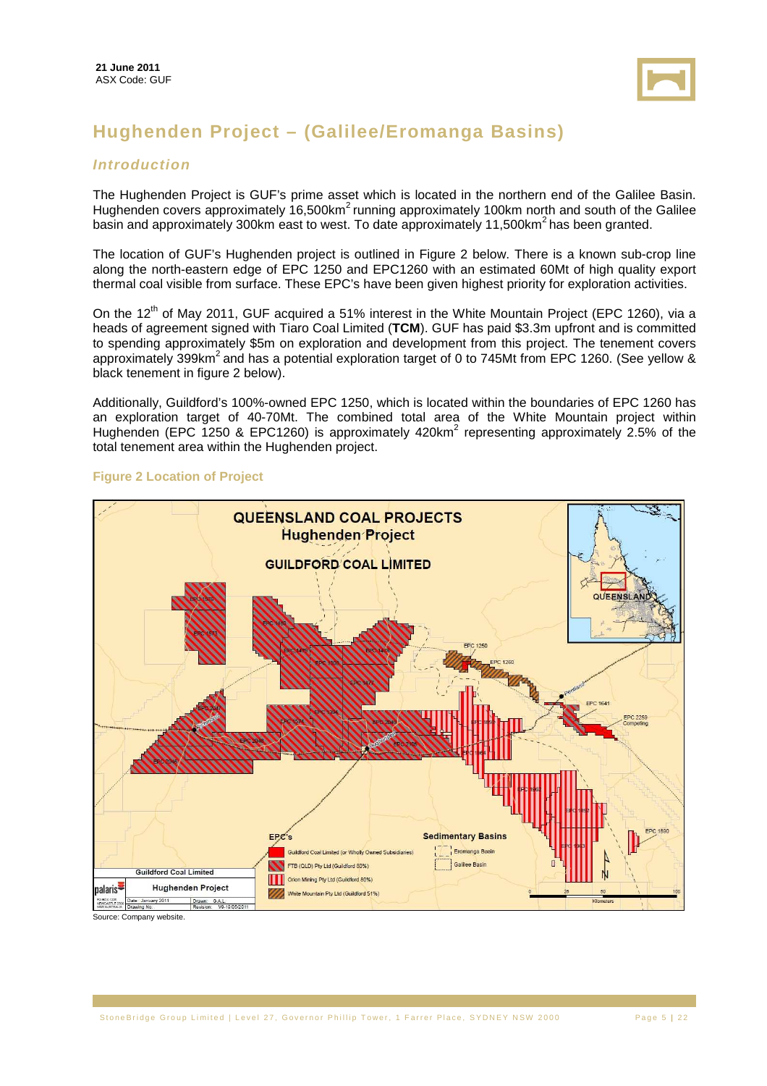

# **Hughenden Project – (Galilee/Eromanga Basins)**

#### **Introduction**

The Hughenden Project is GUF's prime asset which is located in the northern end of the Galilee Basin. Hughenden covers approximately 16,500km<sup>2</sup> running approximately 100km north and south of the Galilee basin and approximately 300km east to west. To date approximately 11,500km<sup>2</sup> has been granted.

The location of GUF's Hughenden project is outlined in Figure 2 below. There is a known sub-crop line along the north-eastern edge of EPC 1250 and EPC1260 with an estimated 60Mt of high quality export thermal coal visible from surface. These EPC's have been given highest priority for exploration activities.

On the 12<sup>th</sup> of May 2011, GUF acquired a 51% interest in the White Mountain Project (EPC 1260), via a heads of agreement signed with Tiaro Coal Limited (**TCM**). GUF has paid \$3.3m upfront and is committed to spending approximately \$5m on exploration and development from this project. The tenement covers approximately 399km<sup>2</sup> and has a potential exploration target of 0 to 745Mt from EPC 1260. (See yellow  $\&$ black tenement in figure 2 below).

Additionally, Guildford's 100%-owned EPC 1250, which is located within the boundaries of EPC 1260 has an exploration target of 40-70Mt. The combined total area of the White Mountain project within Hughenden (EPC 1250 & EPC1260) is approximately 420km<sup>2</sup> representing approximately 2.5% of the total tenement area within the Hughenden project.

#### **Figure 2 Location of Project**



Source: Company website.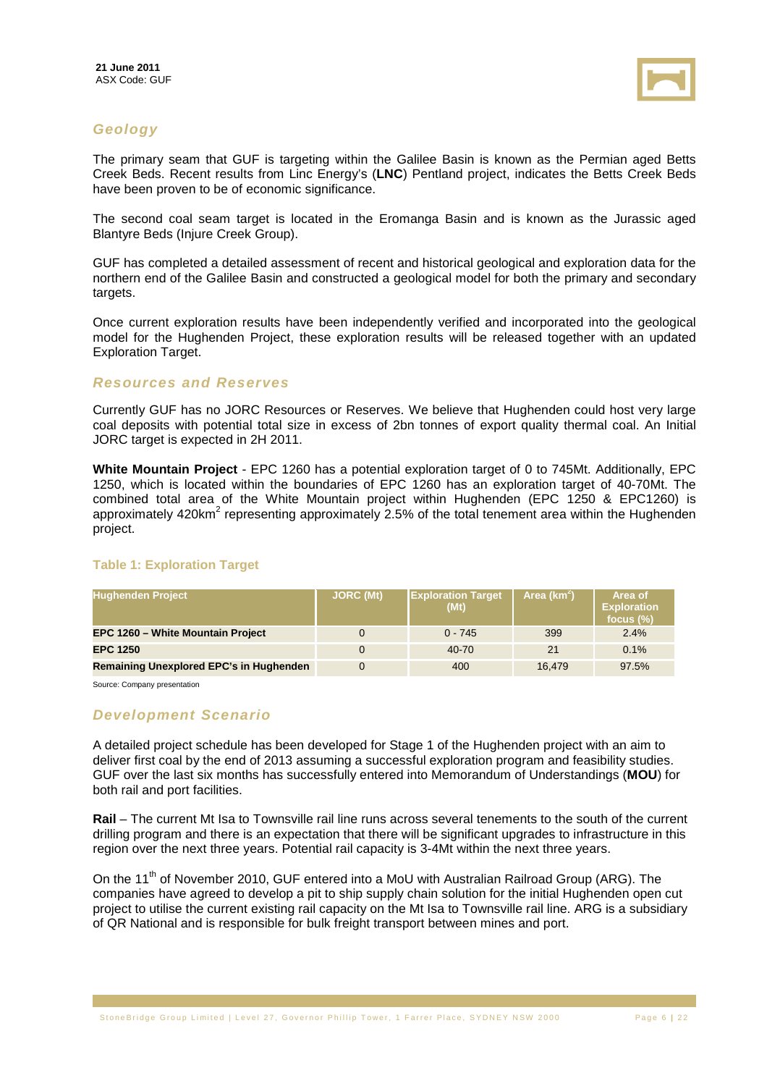

#### **Geology**

The primary seam that GUF is targeting within the Galilee Basin is known as the Permian aged Betts Creek Beds. Recent results from Linc Energy's (**LNC**) Pentland project, indicates the Betts Creek Beds have been proven to be of economic significance.

The second coal seam target is located in the Eromanga Basin and is known as the Jurassic aged Blantyre Beds (Injure Creek Group).

GUF has completed a detailed assessment of recent and historical geological and exploration data for the northern end of the Galilee Basin and constructed a geological model for both the primary and secondary targets.

Once current exploration results have been independently verified and incorporated into the geological model for the Hughenden Project, these exploration results will be released together with an updated Exploration Target.

#### **Resources and Reserves**

Currently GUF has no JORC Resources or Reserves. We believe that Hughenden could host very large coal deposits with potential total size in excess of 2bn tonnes of export quality thermal coal. An Initial JORC target is expected in 2H 2011.

**White Mountain Project** - EPC 1260 has a potential exploration target of 0 to 745Mt. Additionally, EPC 1250, which is located within the boundaries of EPC 1260 has an exploration target of 40-70Mt. The combined total area of the White Mountain project within Hughenden (EPC 1250 & EPC1260) is approximately 420km<sup>2</sup> representing approximately 2.5% of the total tenement area within the Hughenden project.

#### **Table 1: Exploration Target**

| <b>Hughenden Project</b>                       | <b>JORC (Mt)</b> | <b>Exploration Target</b><br>(Mt) | Area (km <sup>2</sup> ) | Area of<br><b>Exploration</b><br>focus $(\%)$ |
|------------------------------------------------|------------------|-----------------------------------|-------------------------|-----------------------------------------------|
| <b>EPC 1260 - White Mountain Project</b>       |                  | $0 - 745$                         | 399                     | 2.4%                                          |
| <b>EPC 1250</b>                                | $\Omega$         | 40-70                             | 21                      | 0.1%                                          |
| <b>Remaining Unexplored EPC's in Hughenden</b> |                  | 400                               | 16.479                  | 97.5%                                         |

Source: Company presentation

#### **Development Scenario**

A detailed project schedule has been developed for Stage 1 of the Hughenden project with an aim to deliver first coal by the end of 2013 assuming a successful exploration program and feasibility studies. GUF over the last six months has successfully entered into Memorandum of Understandings (**MOU**) for both rail and port facilities.

**Rail** – The current Mt Isa to Townsville rail line runs across several tenements to the south of the current drilling program and there is an expectation that there will be significant upgrades to infrastructure in this region over the next three years. Potential rail capacity is 3-4Mt within the next three years.

On the 11<sup>th</sup> of November 2010, GUF entered into a MoU with Australian Railroad Group (ARG). The companies have agreed to develop a pit to ship supply chain solution for the initial Hughenden open cut project to utilise the current existing rail capacity on the Mt Isa to Townsville rail line. ARG is a subsidiary of QR National and is responsible for bulk freight transport between mines and port.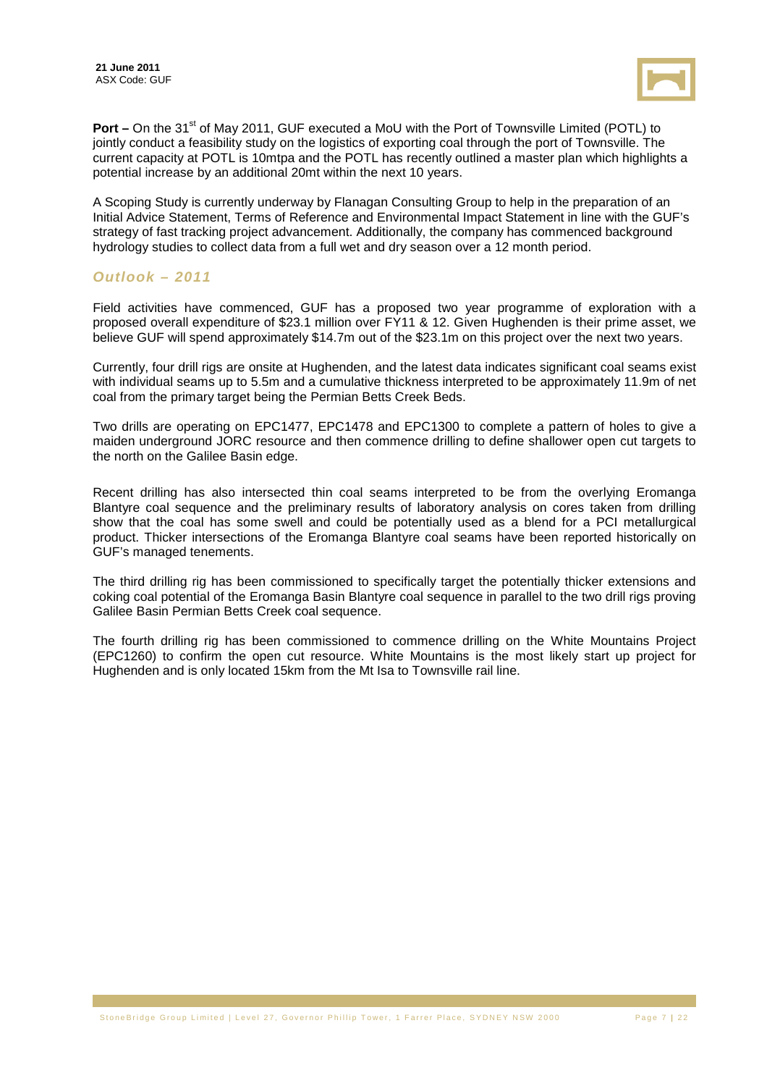

**Port –** On the 31<sup>st</sup> of May 2011, GUF executed a MoU with the Port of Townsville Limited (POTL) to jointly conduct a feasibility study on the logistics of exporting coal through the port of Townsville. The current capacity at POTL is 10mtpa and the POTL has recently outlined a master plan which highlights a potential increase by an additional 20mt within the next 10 years.

A Scoping Study is currently underway by Flanagan Consulting Group to help in the preparation of an Initial Advice Statement, Terms of Reference and Environmental Impact Statement in line with the GUF's strategy of fast tracking project advancement. Additionally, the company has commenced background hydrology studies to collect data from a full wet and dry season over a 12 month period.

#### **Outlook – 2011**

Field activities have commenced, GUF has a proposed two year programme of exploration with a proposed overall expenditure of \$23.1 million over FY11 & 12. Given Hughenden is their prime asset, we believe GUF will spend approximately \$14.7m out of the \$23.1m on this project over the next two years.

Currently, four drill rigs are onsite at Hughenden, and the latest data indicates significant coal seams exist with individual seams up to 5.5m and a cumulative thickness interpreted to be approximately 11.9m of net coal from the primary target being the Permian Betts Creek Beds.

Two drills are operating on EPC1477, EPC1478 and EPC1300 to complete a pattern of holes to give a maiden underground JORC resource and then commence drilling to define shallower open cut targets to the north on the Galilee Basin edge.

Recent drilling has also intersected thin coal seams interpreted to be from the overlying Eromanga Blantyre coal sequence and the preliminary results of laboratory analysis on cores taken from drilling show that the coal has some swell and could be potentially used as a blend for a PCI metallurgical product. Thicker intersections of the Eromanga Blantyre coal seams have been reported historically on GUF's managed tenements.

The third drilling rig has been commissioned to specifically target the potentially thicker extensions and coking coal potential of the Eromanga Basin Blantyre coal sequence in parallel to the two drill rigs proving Galilee Basin Permian Betts Creek coal sequence.

The fourth drilling rig has been commissioned to commence drilling on the White Mountains Project (EPC1260) to confirm the open cut resource. White Mountains is the most likely start up project for Hughenden and is only located 15km from the Mt Isa to Townsville rail line.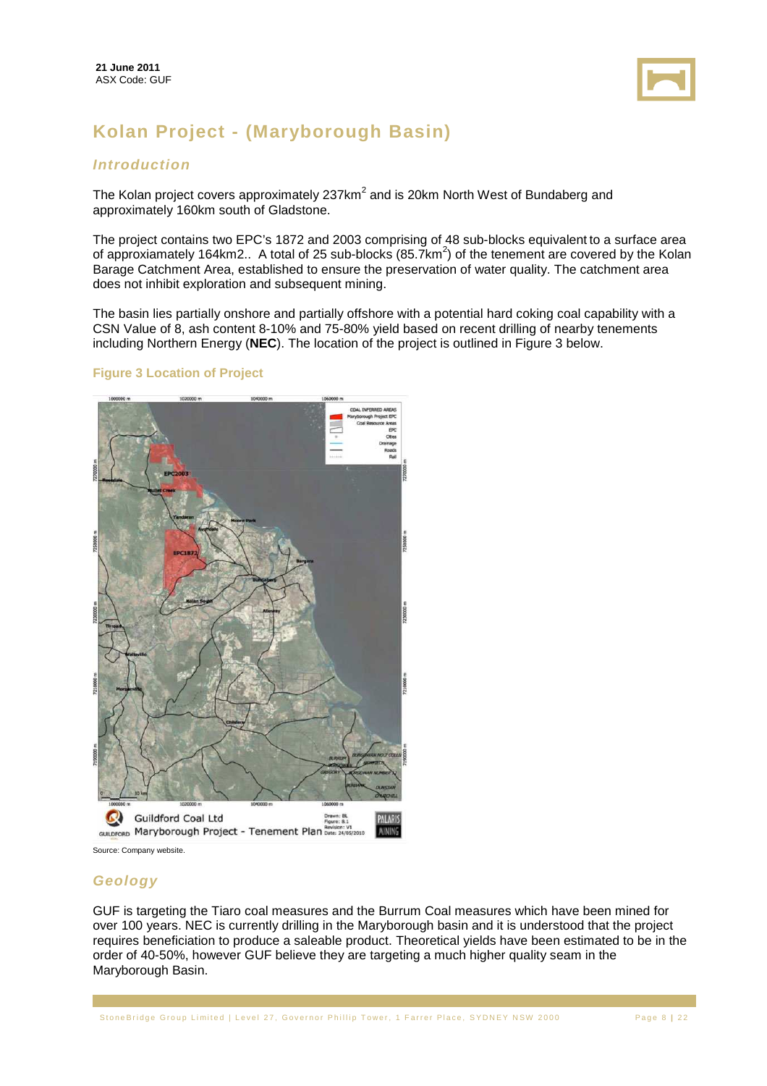

# **Kolan Project - (Maryborough Basin)**

#### **Introduction**

The Kolan project covers approximately 237km<sup>2</sup> and is 20km North West of Bundaberg and approximately 160km south of Gladstone.

The project contains two EPC's 1872 and 2003 comprising of 48 sub-blocks equivalent to a surface area of approxiamately 164km2.. A total of 25 sub-blocks (85.7km<sup>2</sup>) of the tenement are covered by the Kolan Barage Catchment Area, established to ensure the preservation of water quality. The catchment area does not inhibit exploration and subsequent mining.

The basin lies partially onshore and partially offshore with a potential hard coking coal capability with a CSN Value of 8, ash content 8-10% and 75-80% yield based on recent drilling of nearby tenements including Northern Energy (**NEC**). The location of the project is outlined in Figure 3 below.

#### **Figure 3 Location of Project**



#### **Geology**

GUF is targeting the Tiaro coal measures and the Burrum Coal measures which have been mined for over 100 years. NEC is currently drilling in the Maryborough basin and it is understood that the project requires beneficiation to produce a saleable product. Theoretical yields have been estimated to be in the order of 40-50%, however GUF believe they are targeting a much higher quality seam in the Maryborough Basin.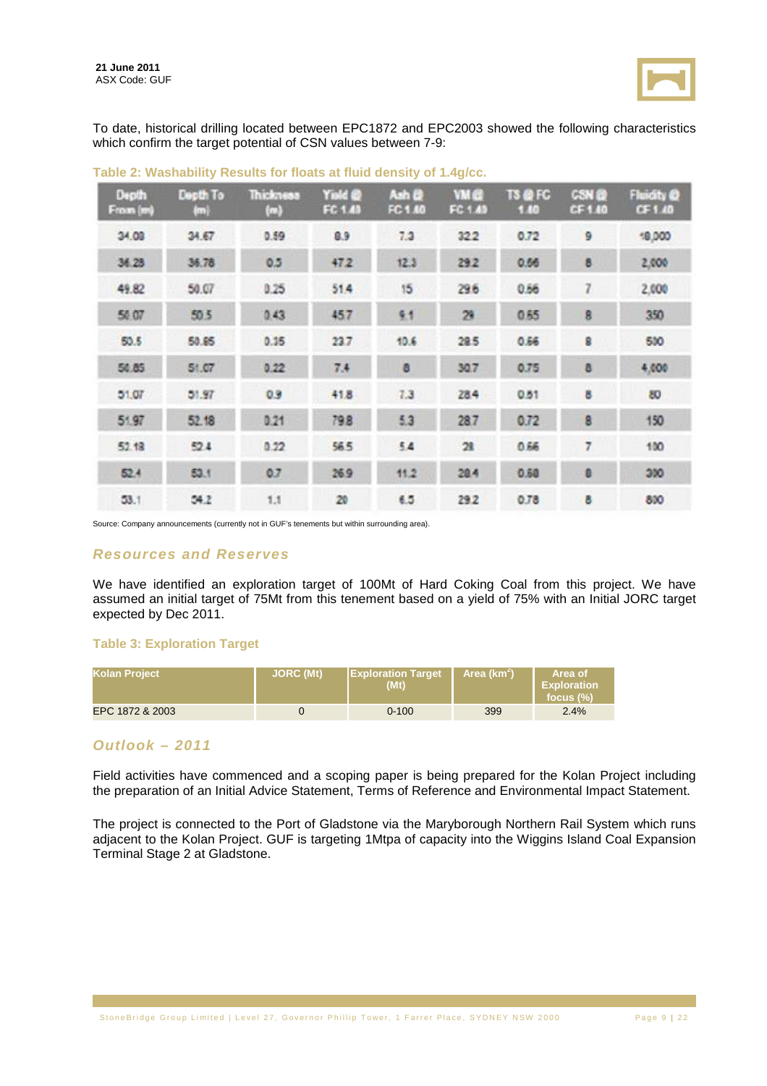

To date, historical drilling located between EPC1872 and EPC2003 showed the following characteristics which confirm the target potential of CSN values between 7-9:

| Depth<br>From (m) | Depth To<br>回 | Thickness<br>$\langle n \rangle$ | Yield @<br>FC 1.43 | Ash &<br>FC 1.40 | <b>YMC</b><br>FC 1.49 | <b>TS @ FC</b><br>1.80 | <b>CSN @</b><br>CF 1.40 | Fluidity @<br>CF1.40 |
|-------------------|---------------|----------------------------------|--------------------|------------------|-----------------------|------------------------|-------------------------|----------------------|
| 34.08             | 34.67         | 0.59                             | 0.9                | 7.3              | 322                   | 0.72                   | 9                       | 18,000               |
| 34.28             | 36.78         | 0.5                              | 47.2               | 12.3             | 29.2                  | 0.56                   | 8                       | 2,000                |
| 49.82             | 50.07         | 0.25                             | 51.4               | 15               | 29.6                  | 0.56                   | 7                       | 2,000                |
| 50.07             | 50.5          | 0.43                             | 457                | 9.1              | 29                    | 0.55                   | 8                       | 350                  |
| 50.5              | 50.85         | 0.35                             | 23.7               | 10.6             | 28.5                  | 0.66                   | 8                       | 500                  |
| 50.85             | 51.07         | 0.22                             | 7.4                | a                | 30.7                  | 0.75                   | a                       | 4,000                |
| 51.07             | 51.97         | 0.9                              | 41.8               | 7.3              | 28.4                  | 0.51                   | ä                       | 80                   |
| 51.97             | 52.18         | 0.21                             | 79.8               | 5.3              | 287                   | 0.72                   | 8                       | 150                  |
| 52.18             | 52.4          | 0.22                             | 56.5               | 5.4              | 21                    | 0.66                   | 7                       | 100                  |
| 52.4              | 53.1          | 0.7                              | 26.9               | 11.2             | 20.4                  | 0.50                   | e                       | 300                  |
| 53.1              | 54.2          | 1.1                              | 20                 | 6.5              | 29.2                  | 0.78                   | B                       | 810                  |

**Table 2: Washability Results for floats at fluid density of 1.4g/cc.** 

Source: Company announcements (currently not in GUF's tenements but within surrounding area).

#### **Resources and Reserves**

We have identified an exploration target of 100Mt of Hard Coking Coal from this project. We have assumed an initial target of 75Mt from this tenement based on a yield of 75% with an Initial JORC target expected by Dec 2011.

#### **Table 3: Exploration Target**

| Kolan Project   | <b>JORC</b> (Mt) | <b>Exploration Target</b><br>(Mt) | Area (km <sup>2</sup> ) | Area of<br><b>Exploration</b><br>focus $(\%)$ |
|-----------------|------------------|-----------------------------------|-------------------------|-----------------------------------------------|
| EPC 1872 & 2003 |                  | $0 - 100$                         | 399                     | 2.4%                                          |

#### **Outlook – 2011**

Field activities have commenced and a scoping paper is being prepared for the Kolan Project including the preparation of an Initial Advice Statement, Terms of Reference and Environmental Impact Statement.

The project is connected to the Port of Gladstone via the Maryborough Northern Rail System which runs adjacent to the Kolan Project. GUF is targeting 1Mtpa of capacity into the Wiggins Island Coal Expansion Terminal Stage 2 at Gladstone.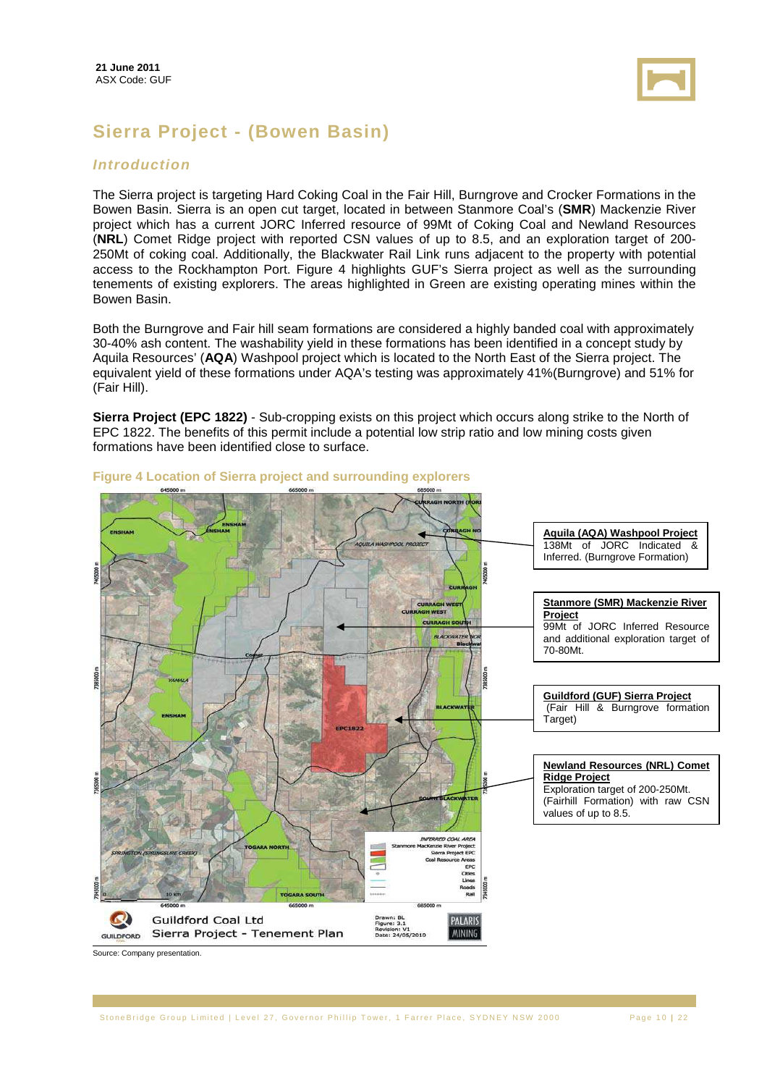

# **Sierra Project - (Bowen Basin)**

#### **Introduction**

The Sierra project is targeting Hard Coking Coal in the Fair Hill, Burngrove and Crocker Formations in the Bowen Basin. Sierra is an open cut target, located in between Stanmore Coal's (**SMR**) Mackenzie River project which has a current JORC Inferred resource of 99Mt of Coking Coal and Newland Resources (**NRL**) Comet Ridge project with reported CSN values of up to 8.5, and an exploration target of 200- 250Mt of coking coal. Additionally, the Blackwater Rail Link runs adjacent to the property with potential access to the Rockhampton Port. Figure 4 highlights GUF's Sierra project as well as the surrounding tenements of existing explorers. The areas highlighted in Green are existing operating mines within the Bowen Basin.

Both the Burngrove and Fair hill seam formations are considered a highly banded coal with approximately 30-40% ash content. The washability yield in these formations has been identified in a concept study by Aquila Resources' (**AQA**) Washpool project which is located to the North East of the Sierra project. The equivalent yield of these formations under AQA's testing was approximately 41%(Burngrove) and 51% for (Fair Hill).

**Sierra Project (EPC 1822)** - Sub-cropping exists on this project which occurs along strike to the North of EPC 1822. The benefits of this permit include a potential low strip ratio and low mining costs given formations have been identified close to surface.



#### **Figure 4 Location of Sierra project and surrounding explorers**

Source: Company presentation.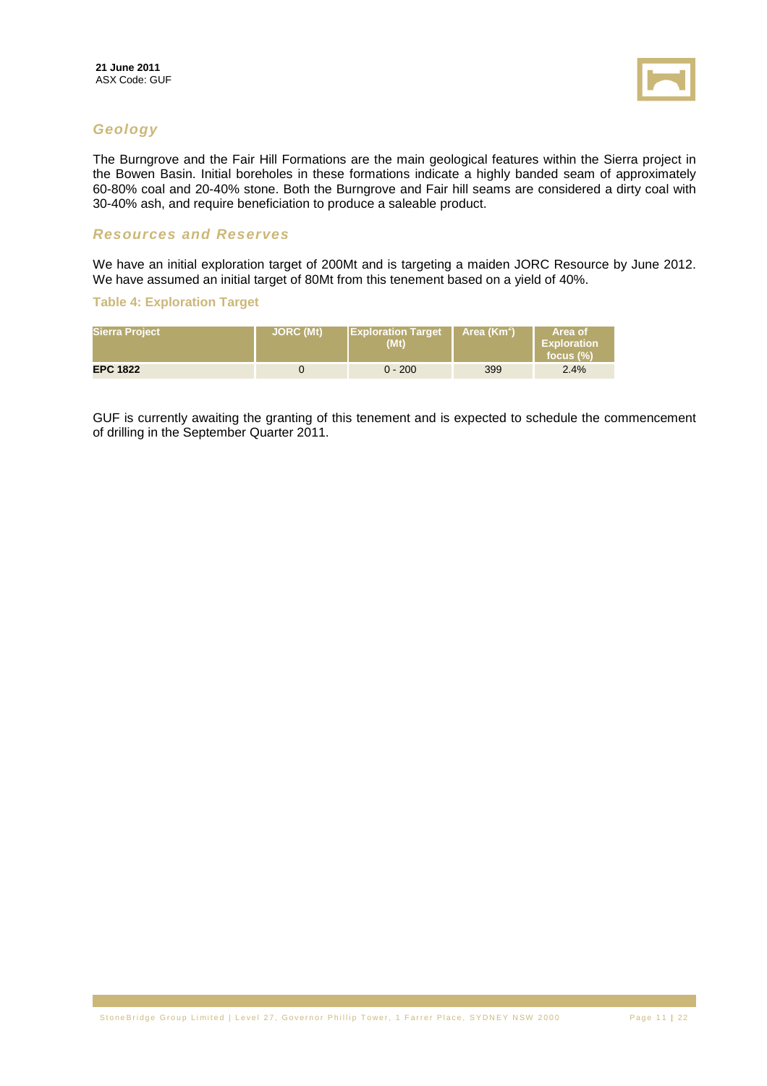

#### **Geology**

The Burngrove and the Fair Hill Formations are the main geological features within the Sierra project in the Bowen Basin. Initial boreholes in these formations indicate a highly banded seam of approximately 60-80% coal and 20-40% stone. Both the Burngrove and Fair hill seams are considered a dirty coal with 30-40% ash, and require beneficiation to produce a saleable product.

#### **Resources and Reserves**

We have an initial exploration target of 200Mt and is targeting a maiden JORC Resource by June 2012. We have assumed an initial target of 80Mt from this tenement based on a yield of 40%.

#### **Table 4: Exploration Target**

| <b>Sierra Project</b> | <b>JORC (Mt)</b> | <b>IExploration Target</b><br>(Mt) | Area (Km <sup>2</sup> ) | 'Area of<br><b>Exploration</b><br>focus $(\%)$ |
|-----------------------|------------------|------------------------------------|-------------------------|------------------------------------------------|
| <b>EPC 1822</b>       |                  | $0 - 200$                          | 399                     | 2.4%                                           |

GUF is currently awaiting the granting of this tenement and is expected to schedule the commencement of drilling in the September Quarter 2011.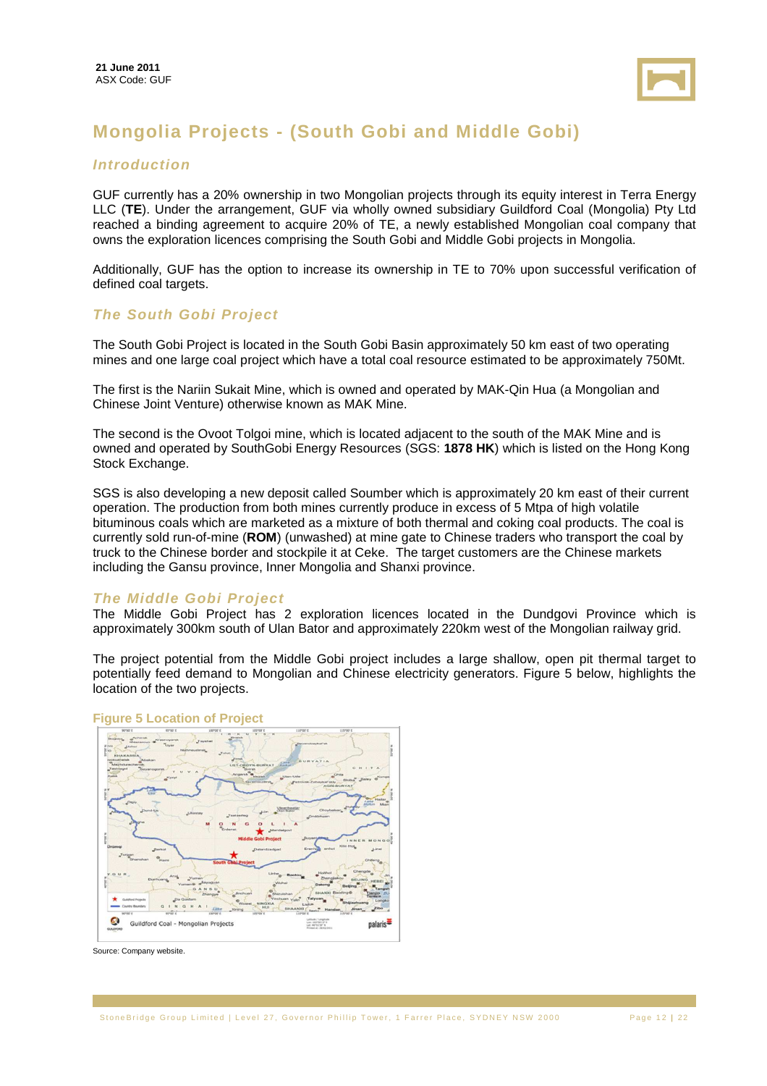

# **Mongolia Projects - (South Gobi and Middle Gobi)**

#### **Introduction**

GUF currently has a 20% ownership in two Mongolian projects through its equity interest in Terra Energy LLC (**TE**). Under the arrangement, GUF via wholly owned subsidiary Guildford Coal (Mongolia) Pty Ltd reached a binding agreement to acquire 20% of TE, a newly established Mongolian coal company that owns the exploration licences comprising the South Gobi and Middle Gobi projects in Mongolia.

Additionally, GUF has the option to increase its ownership in TE to 70% upon successful verification of defined coal targets.

#### **The South Gobi Project**

The South Gobi Project is located in the South Gobi Basin approximately 50 km east of two operating mines and one large coal project which have a total coal resource estimated to be approximately 750Mt.

The first is the Nariin Sukait Mine, which is owned and operated by MAK-Qin Hua (a Mongolian and Chinese Joint Venture) otherwise known as MAK Mine.

The second is the Ovoot Tolgoi mine, which is located adjacent to the south of the MAK Mine and is owned and operated by SouthGobi Energy Resources (SGS: **1878 HK**) which is listed on the Hong Kong Stock Exchange.

SGS is also developing a new deposit called Soumber which is approximately 20 km east of their current operation. The production from both mines currently produce in excess of 5 Mtpa of high volatile bituminous coals which are marketed as a mixture of both thermal and coking coal products. The coal is currently sold run-of-mine (**ROM**) (unwashed) at mine gate to Chinese traders who transport the coal by truck to the Chinese border and stockpile it at Ceke. The target customers are the Chinese markets including the Gansu province, Inner Mongolia and Shanxi province.

#### **The Middle Gobi Project**

The Middle Gobi Project has 2 exploration licences located in the Dundgovi Province which is approximately 300km south of Ulan Bator and approximately 220km west of the Mongolian railway grid.

The project potential from the Middle Gobi project includes a large shallow, open pit thermal target to potentially feed demand to Mongolian and Chinese electricity generators. Figure 5 below, highlights the location of the two projects.



#### **Figure 5 Location of Project**

Source: Company website.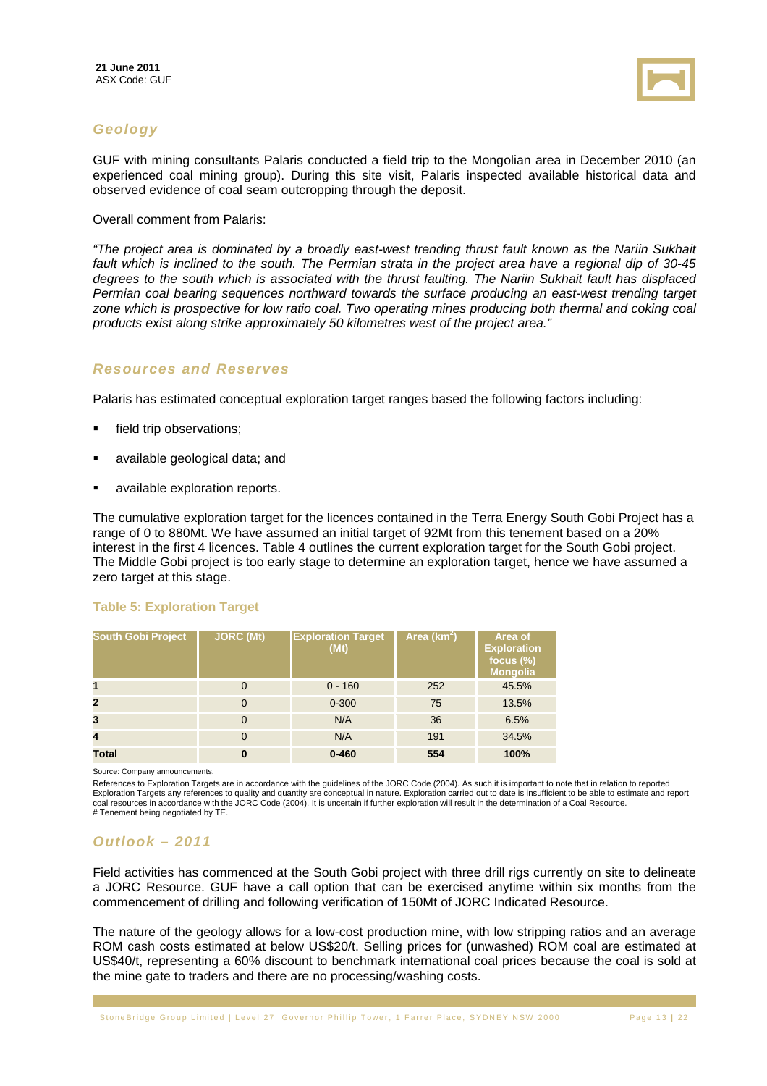

### **Geology**

GUF with mining consultants Palaris conducted a field trip to the Mongolian area in December 2010 (an experienced coal mining group). During this site visit, Palaris inspected available historical data and observed evidence of coal seam outcropping through the deposit.

Overall comment from Palaris:

"The project area is dominated by a broadly east-west trending thrust fault known as the Nariin Sukhait fault which is inclined to the south. The Permian strata in the project area have a regional dip of 30-45 degrees to the south which is associated with the thrust faulting. The Nariin Sukhait fault has displaced Permian coal bearing sequences northward towards the surface producing an east-west trending target zone which is prospective for low ratio coal. Two operating mines producing both thermal and coking coal products exist along strike approximately 50 kilometres west of the project area."

#### **Resources and Reserves**

Palaris has estimated conceptual exploration target ranges based the following factors including:

- **field trip observations;**
- available geological data; and
- available exploration reports.

The cumulative exploration target for the licences contained in the Terra Energy South Gobi Project has a range of 0 to 880Mt. We have assumed an initial target of 92Mt from this tenement based on a 20% interest in the first 4 licences. Table 4 outlines the current exploration target for the South Gobi project. The Middle Gobi project is too early stage to determine an exploration target, hence we have assumed a zero target at this stage.

#### **Table 5: Exploration Target**

| <b>South Gobi Project</b> | <b>JORC (Mt)</b> | <b>Exploration Target</b><br>(Mt) | Area ( $km^2$ ) | Area of<br><b>Exploration</b><br>focus $(\%)$<br><b>Mongolia</b> |
|---------------------------|------------------|-----------------------------------|-----------------|------------------------------------------------------------------|
| 1                         | $\mathbf 0$      | $0 - 160$                         | 252             | 45.5%                                                            |
| $\mathbf{2}$              | $\mathbf 0$      | $0 - 300$                         | 75              | 13.5%                                                            |
| 3                         | $\overline{0}$   | N/A                               | 36              | 6.5%                                                             |
| $\overline{\mathbf{4}}$   | $\overline{0}$   | N/A                               | 191             | 34.5%                                                            |
| <b>Total</b>              | $\bf{0}$         | $0 - 460$                         | 554             | 100%                                                             |

Source: Company announcements.

References to Exploration Targets are in accordance with the guidelines of the JORC Code (2004). As such it is important to note that in relation to reported<br>Exploration Targets any references to quality and quantity are c coal resources in accordance with the JORC Code (2004). It is uncertain if further exploration will result in the determination of a Coal Resource. # Tenement being negotiated by TE.

### **Outlook – 2011**

Field activities has commenced at the South Gobi project with three drill rigs currently on site to delineate a JORC Resource. GUF have a call option that can be exercised anytime within six months from the commencement of drilling and following verification of 150Mt of JORC Indicated Resource.

The nature of the geology allows for a low-cost production mine, with low stripping ratios and an average ROM cash costs estimated at below US\$20/t. Selling prices for (unwashed) ROM coal are estimated at US\$40/t, representing a 60% discount to benchmark international coal prices because the coal is sold at the mine gate to traders and there are no processing/washing costs.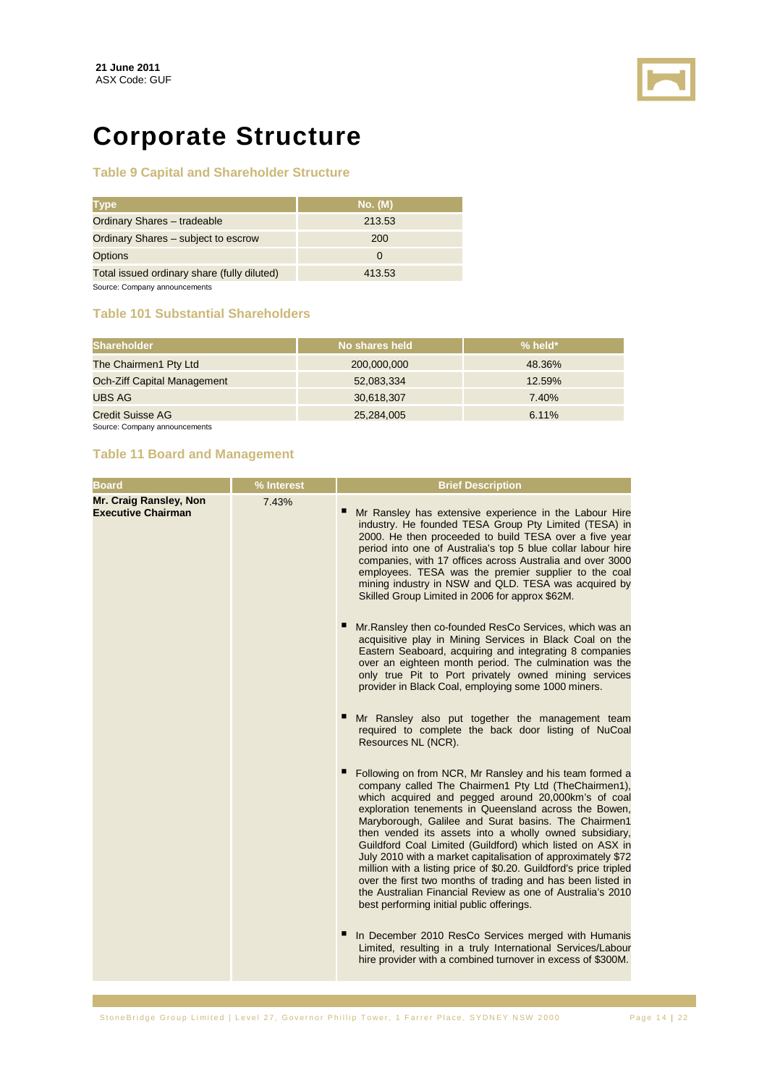

# **Corporate Structure**

#### **Table 9 Capital and Shareholder Structure**

| <b>Type</b>                                 | No. (M) |
|---------------------------------------------|---------|
| Ordinary Shares - tradeable                 | 213.53  |
| Ordinary Shares - subject to escrow         | 200     |
| <b>Options</b>                              |         |
| Total issued ordinary share (fully diluted) | 413.53  |
|                                             |         |

Source: Company announcements

#### **Table 101 Substantial Shareholders**

| <b>Shareholder</b>          | No shares held | $%$ held* |
|-----------------------------|----------------|-----------|
| The Chairmen1 Pty Ltd       | 200,000,000    | 48.36%    |
| Och-Ziff Capital Management | 52,083,334     | 12.59%    |
| UBS AG                      | 30,618,307     | 7.40%     |
| Credit Suisse AG            | 25,284,005     | 6.11%     |

Source: Company announcements

#### **Table 11 Board and Management**

|                                                                     | % Interest | <b>Brief Description</b>                                                                                                                                                                                                                                                                                                                                                                                                                                                                                                                                                                                                                                                                                                                                                                                                                                                                                                                                                                                                                                                                                                                                                                                                                                                                                                                 |
|---------------------------------------------------------------------|------------|------------------------------------------------------------------------------------------------------------------------------------------------------------------------------------------------------------------------------------------------------------------------------------------------------------------------------------------------------------------------------------------------------------------------------------------------------------------------------------------------------------------------------------------------------------------------------------------------------------------------------------------------------------------------------------------------------------------------------------------------------------------------------------------------------------------------------------------------------------------------------------------------------------------------------------------------------------------------------------------------------------------------------------------------------------------------------------------------------------------------------------------------------------------------------------------------------------------------------------------------------------------------------------------------------------------------------------------|
| <b>Board</b><br>Mr. Craig Ransley, Non<br><b>Executive Chairman</b> | 7.43%      | Mr Ransley has extensive experience in the Labour Hire<br>industry. He founded TESA Group Pty Limited (TESA) in<br>2000. He then proceeded to build TESA over a five year<br>period into one of Australia's top 5 blue collar labour hire<br>companies, with 17 offices across Australia and over 3000<br>employees. TESA was the premier supplier to the coal<br>mining industry in NSW and QLD. TESA was acquired by<br>Skilled Group Limited in 2006 for approx \$62M.<br>п<br>Mr. Ransley then co-founded ResCo Services, which was an<br>acquisitive play in Mining Services in Black Coal on the<br>Eastern Seaboard, acquiring and integrating 8 companies<br>over an eighteen month period. The culmination was the<br>only true Pit to Port privately owned mining services<br>provider in Black Coal, employing some 1000 miners.<br>Mr Ransley also put together the management team<br>required to complete the back door listing of NuCoal<br>Resources NL (NCR).<br>п<br>Following on from NCR, Mr Ransley and his team formed a<br>company called The Chairmen1 Pty Ltd (TheChairmen1),<br>which acquired and pegged around 20,000km's of coal<br>exploration tenements in Queensland across the Bowen,<br>Maryborough, Galilee and Surat basins. The Chairmen1<br>then vended its assets into a wholly owned subsidiary, |
|                                                                     |            | Guildford Coal Limited (Guildford) which listed on ASX in<br>July 2010 with a market capitalisation of approximately \$72<br>million with a listing price of \$0.20. Guildford's price tripled<br>over the first two months of trading and has been listed in<br>the Australian Financial Review as one of Australia's 2010<br>best performing initial public offerings.<br>In December 2010 ResCo Services merged with Humanis<br>Limited, resulting in a truly International Services/Labour                                                                                                                                                                                                                                                                                                                                                                                                                                                                                                                                                                                                                                                                                                                                                                                                                                           |
|                                                                     |            | hire provider with a combined turnover in excess of \$300M.                                                                                                                                                                                                                                                                                                                                                                                                                                                                                                                                                                                                                                                                                                                                                                                                                                                                                                                                                                                                                                                                                                                                                                                                                                                                              |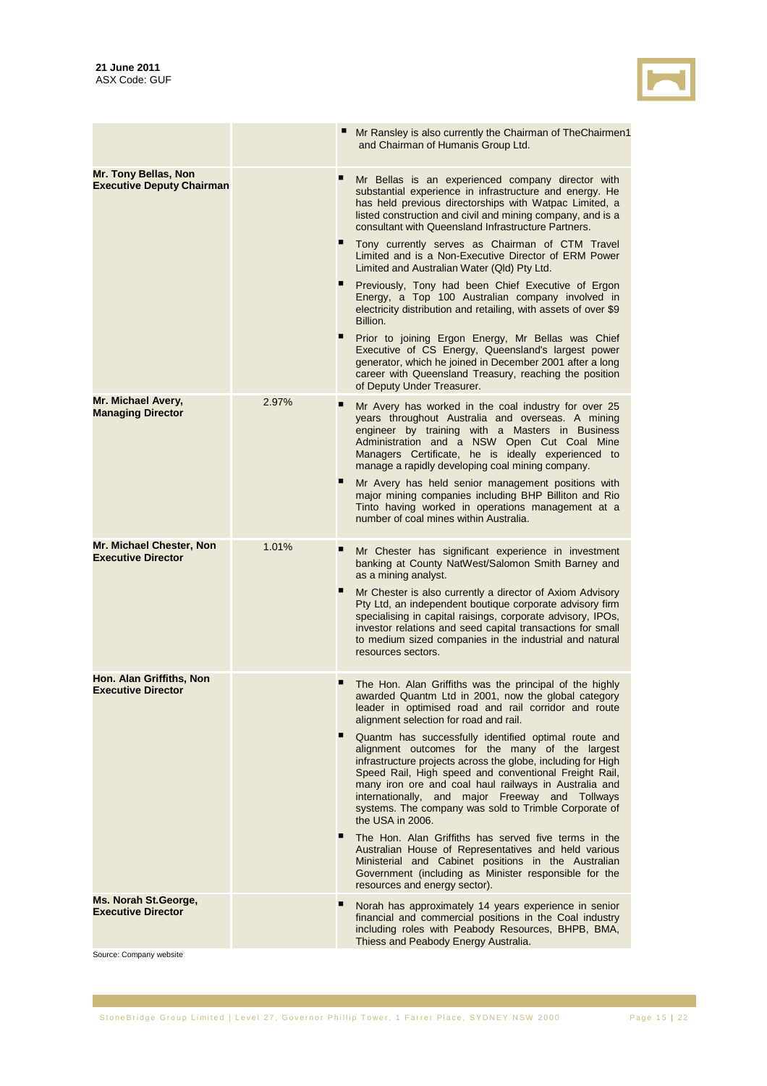

|                                                          |       |   | Mr Ransley is also currently the Chairman of TheChairmen1<br>and Chairman of Humanis Group Ltd.                                                                                                                                                                                                                                                                                                                          |
|----------------------------------------------------------|-------|---|--------------------------------------------------------------------------------------------------------------------------------------------------------------------------------------------------------------------------------------------------------------------------------------------------------------------------------------------------------------------------------------------------------------------------|
| Mr. Tony Bellas, Non<br><b>Executive Deputy Chairman</b> |       | п | Mr Bellas is an experienced company director with<br>substantial experience in infrastructure and energy. He<br>has held previous directorships with Watpac Limited, a<br>listed construction and civil and mining company, and is a<br>consultant with Queensland Infrastructure Partners.                                                                                                                              |
|                                                          |       |   | Tony currently serves as Chairman of CTM Travel<br>Limited and is a Non-Executive Director of ERM Power<br>Limited and Australian Water (Qld) Pty Ltd.                                                                                                                                                                                                                                                                   |
|                                                          |       |   | Previously, Tony had been Chief Executive of Ergon<br>Energy, a Top 100 Australian company involved in<br>electricity distribution and retailing, with assets of over \$9<br>Billion.                                                                                                                                                                                                                                    |
|                                                          |       | п | Prior to joining Ergon Energy, Mr Bellas was Chief<br>Executive of CS Energy, Queensland's largest power<br>generator, which he joined in December 2001 after a long<br>career with Queensland Treasury, reaching the position<br>of Deputy Under Treasurer.                                                                                                                                                             |
| Mr. Michael Avery,<br><b>Managing Director</b>           | 2.97% |   | Mr Avery has worked in the coal industry for over 25<br>years throughout Australia and overseas. A mining<br>engineer by training with a Masters in Business<br>Administration and a NSW Open Cut Coal Mine<br>Managers Certificate, he is ideally experienced to<br>manage a rapidly developing coal mining company.                                                                                                    |
|                                                          |       | п | Mr Avery has held senior management positions with<br>major mining companies including BHP Billiton and Rio<br>Tinto having worked in operations management at a<br>number of coal mines within Australia.                                                                                                                                                                                                               |
| Mr. Michael Chester, Non<br><b>Executive Director</b>    | 1.01% | п | Mr Chester has significant experience in investment<br>banking at County NatWest/Salomon Smith Barney and<br>as a mining analyst.                                                                                                                                                                                                                                                                                        |
|                                                          |       |   | Mr Chester is also currently a director of Axiom Advisory<br>Pty Ltd, an independent boutique corporate advisory firm<br>specialising in capital raisings, corporate advisory, IPOs,<br>investor relations and seed capital transactions for small<br>to medium sized companies in the industrial and natural<br>resources sectors.                                                                                      |
| Hon. Alan Griffiths, Non<br><b>Executive Director</b>    |       | п | The Hon. Alan Griffiths was the principal of the highly<br>awarded Quantm Ltd in 2001, now the global category<br>leader in optimised road and rail corridor and route<br>alignment selection for road and rail.                                                                                                                                                                                                         |
|                                                          |       |   | Quantm has successfully identified optimal route and<br>alignment outcomes for the many of the largest<br>infrastructure projects across the globe, including for High<br>Speed Rail, High speed and conventional Freight Rail,<br>many iron ore and coal haul railways in Australia and<br>internationally, and major Freeway and Tollways<br>systems. The company was sold to Trimble Corporate of<br>the USA in 2006. |
|                                                          |       | п | The Hon. Alan Griffiths has served five terms in the<br>Australian House of Representatives and held various<br>Ministerial and Cabinet positions in the Australian<br>Government (including as Minister responsible for the<br>resources and energy sector).                                                                                                                                                            |
| Ms. Norah St. George,<br><b>Executive Director</b>       |       |   | Norah has approximately 14 years experience in senior<br>financial and commercial positions in the Coal industry<br>including roles with Peabody Resources, BHPB, BMA,<br>Thiess and Peabody Energy Australia.                                                                                                                                                                                                           |

Source: Company website

in 1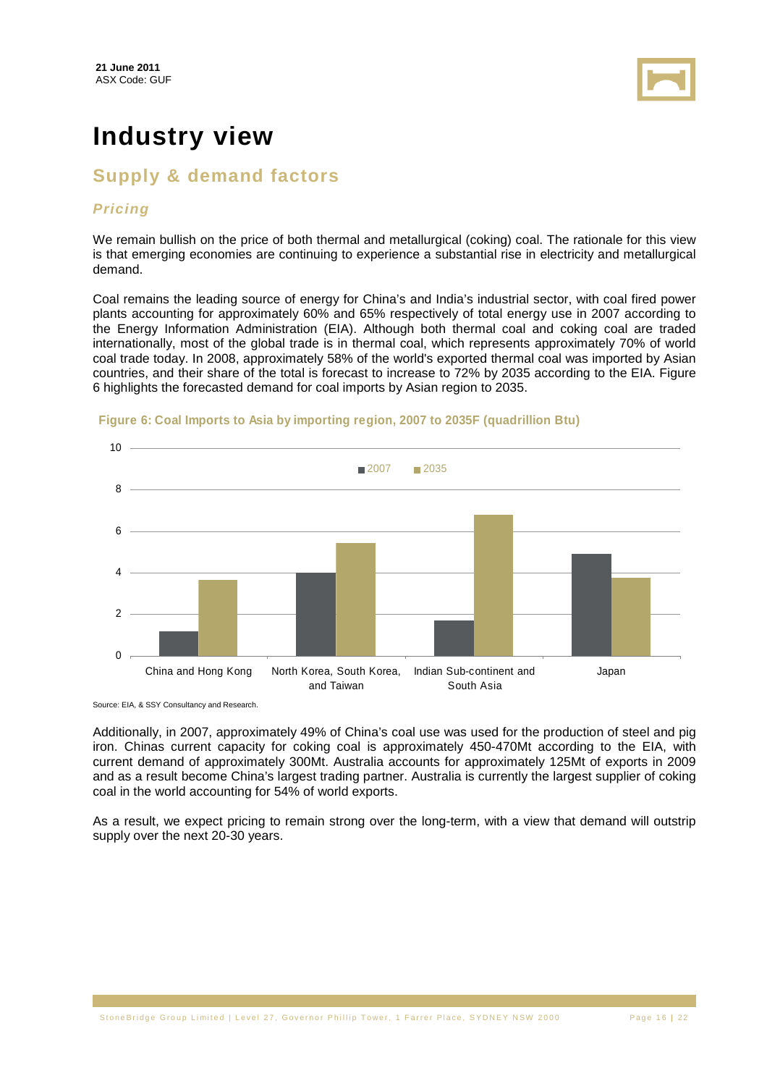

# **Industry view**

# **Supply & demand factors**

#### **Pricing**

We remain bullish on the price of both thermal and metallurgical (coking) coal. The rationale for this view is that emerging economies are continuing to experience a substantial rise in electricity and metallurgical demand.

Coal remains the leading source of energy for China's and India's industrial sector, with coal fired power plants accounting for approximately 60% and 65% respectively of total energy use in 2007 according to the Energy Information Administration (EIA). Although both thermal coal and coking coal are traded internationally, most of the global trade is in thermal coal, which represents approximately 70% of world coal trade today. In 2008, approximately 58% of the world's exported thermal coal was imported by Asian countries, and their share of the total is forecast to increase to 72% by 2035 according to the EIA. Figure 6 highlights the forecasted demand for coal imports by Asian region to 2035.



#### **Figure 6: Coal Imports to Asia by importing region, 2007 to 2035F (quadrillion Btu)**

Source: EIA, & SSY Consultancy and Research.

Additionally, in 2007, approximately 49% of China's coal use was used for the production of steel and pig iron. Chinas current capacity for coking coal is approximately 450-470Mt according to the EIA, with current demand of approximately 300Mt. Australia accounts for approximately 125Mt of exports in 2009 and as a result become China's largest trading partner. Australia is currently the largest supplier of coking coal in the world accounting for 54% of world exports.

As a result, we expect pricing to remain strong over the long-term, with a view that demand will outstrip supply over the next 20-30 years.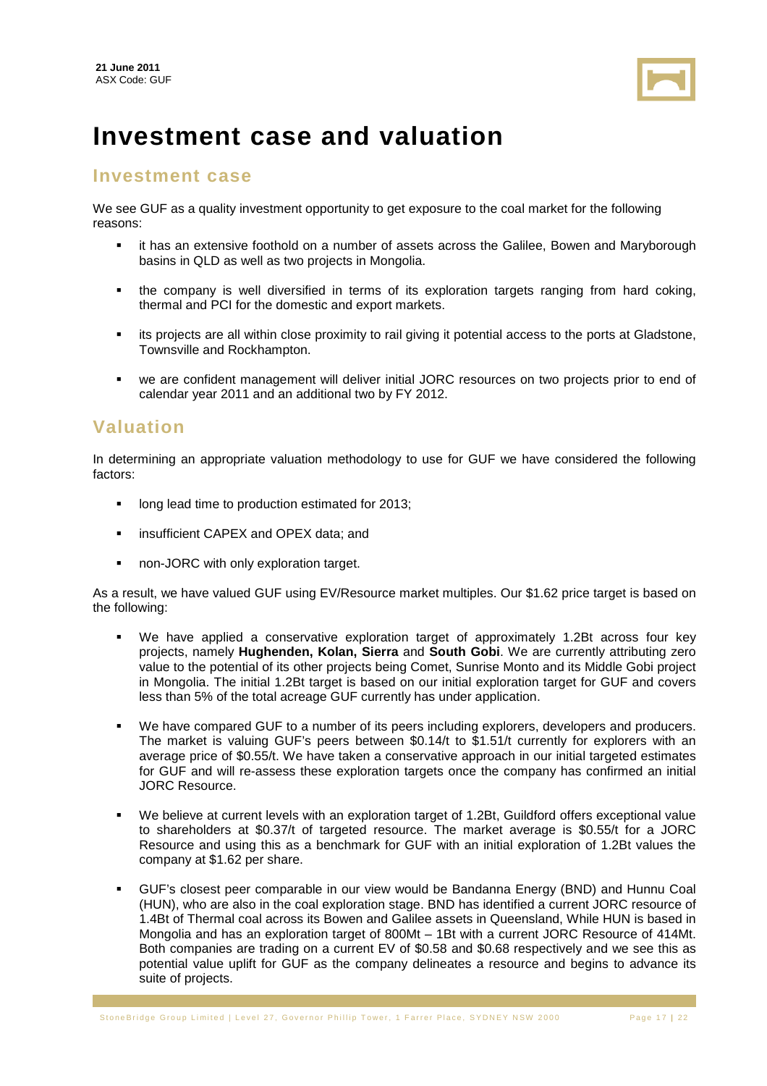

# **Investment case and valuation**

### **Investment case**

We see GUF as a quality investment opportunity to get exposure to the coal market for the following reasons:

- it has an extensive foothold on a number of assets across the Galilee, Bowen and Maryborough basins in QLD as well as two projects in Mongolia.
- the company is well diversified in terms of its exploration targets ranging from hard coking, thermal and PCI for the domestic and export markets.
- its projects are all within close proximity to rail giving it potential access to the ports at Gladstone, Townsville and Rockhampton.
- we are confident management will deliver initial JORC resources on two projects prior to end of calendar year 2011 and an additional two by FY 2012.

### **Valuation**

In determining an appropriate valuation methodology to use for GUF we have considered the following factors:

- long lead time to production estimated for 2013;
- insufficient CAPEX and OPEX data; and
- non-JORC with only exploration target.

As a result, we have valued GUF using EV/Resource market multiples. Our \$1.62 price target is based on the following:

- We have applied a conservative exploration target of approximately 1.2Bt across four key projects, namely **Hughenden, Kolan, Sierra** and **South Gobi**. We are currently attributing zero value to the potential of its other projects being Comet, Sunrise Monto and its Middle Gobi project in Mongolia. The initial 1.2Bt target is based on our initial exploration target for GUF and covers less than 5% of the total acreage GUF currently has under application.
- We have compared GUF to a number of its peers including explorers, developers and producers. The market is valuing GUF's peers between \$0.14/t to \$1.51/t currently for explorers with an average price of \$0.55/t. We have taken a conservative approach in our initial targeted estimates for GUF and will re-assess these exploration targets once the company has confirmed an initial JORC Resource.
- We believe at current levels with an exploration target of 1.2Bt, Guildford offers exceptional value to shareholders at \$0.37/t of targeted resource. The market average is \$0.55/t for a JORC Resource and using this as a benchmark for GUF with an initial exploration of 1.2Bt values the company at \$1.62 per share.
- GUF's closest peer comparable in our view would be Bandanna Energy (BND) and Hunnu Coal (HUN), who are also in the coal exploration stage. BND has identified a current JORC resource of 1.4Bt of Thermal coal across its Bowen and Galilee assets in Queensland, While HUN is based in Mongolia and has an exploration target of 800Mt – 1Bt with a current JORC Resource of 414Mt. Both companies are trading on a current EV of \$0.58 and \$0.68 respectively and we see this as potential value uplift for GUF as the company delineates a resource and begins to advance its suite of projects.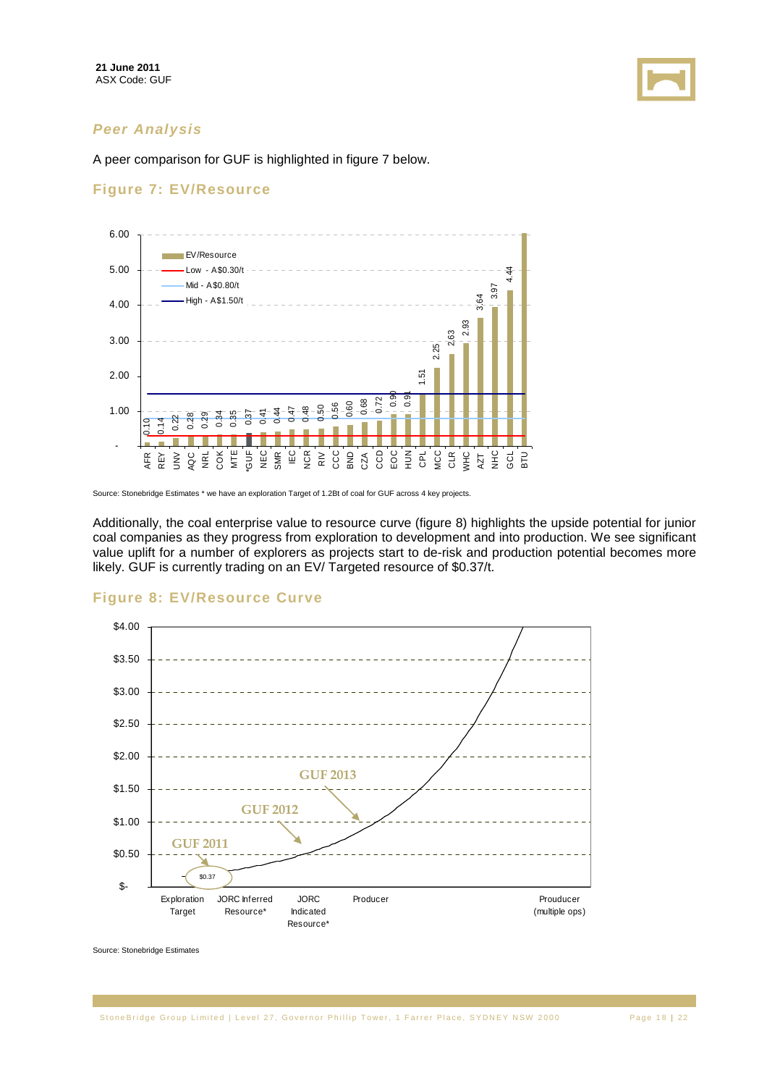

#### **Peer Analysis**

A peer comparison for GUF is highlighted in figure 7 below.

#### **Figure 7: EV/Resource**



Source: Stonebridge Estimates \* we have an exploration Target of 1.2Bt of coal for GUF across 4 key projects.

Additionally, the coal enterprise value to resource curve (figure 8) highlights the upside potential for junior coal companies as they progress from exploration to development and into production. We see significant value uplift for a number of explorers as projects start to de-risk and production potential becomes more likely. GUF is currently trading on an EV/ Targeted resource of \$0.37/t.



#### **Figure 8: EV/Resource Curve**

Source: Stonebridge Estimates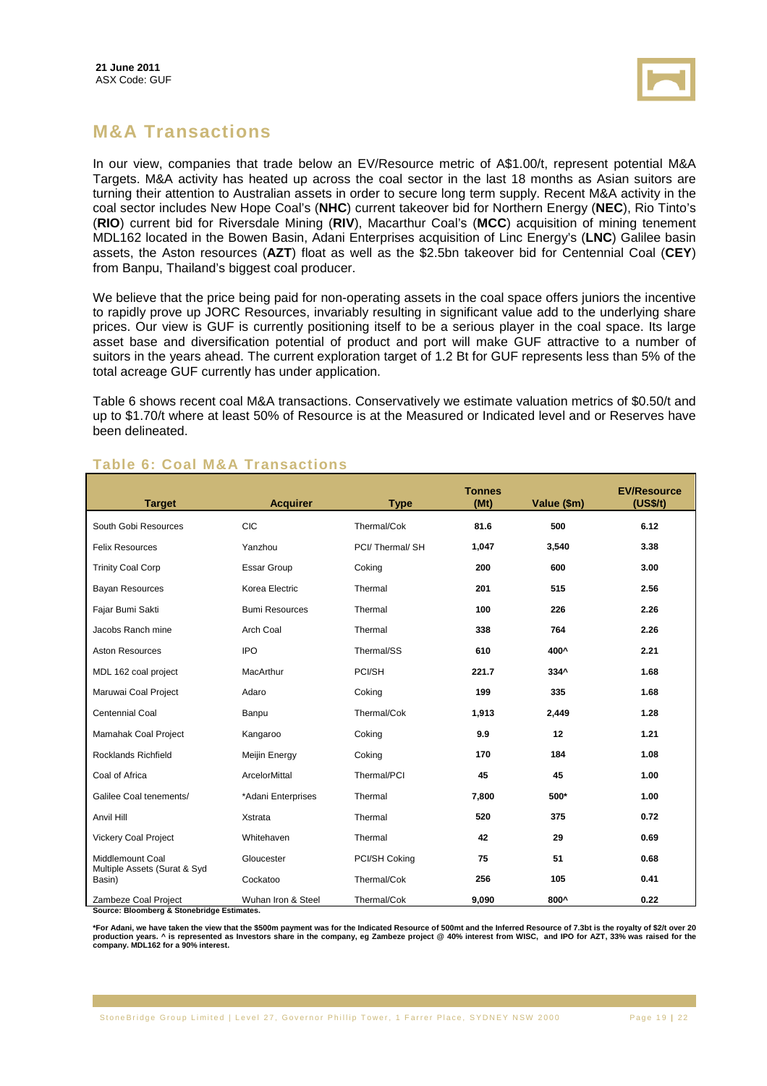

# **M&A Transactions**

In our view, companies that trade below an EV/Resource metric of A\$1.00/t, represent potential M&A Targets. M&A activity has heated up across the coal sector in the last 18 months as Asian suitors are turning their attention to Australian assets in order to secure long term supply. Recent M&A activity in the coal sector includes New Hope Coal's (**NHC**) current takeover bid for Northern Energy (**NEC**), Rio Tinto's (**RIO**) current bid for Riversdale Mining (**RIV**), Macarthur Coal's (**MCC**) acquisition of mining tenement MDL162 located in the Bowen Basin, Adani Enterprises acquisition of Linc Energy's (**LNC**) Galilee basin assets, the Aston resources (**AZT**) float as well as the \$2.5bn takeover bid for Centennial Coal (**CEY**) from Banpu, Thailand's biggest coal producer.

We believe that the price being paid for non-operating assets in the coal space offers juniors the incentive to rapidly prove up JORC Resources, invariably resulting in significant value add to the underlying share prices. Our view is GUF is currently positioning itself to be a serious player in the coal space. Its large asset base and diversification potential of product and port will make GUF attractive to a number of suitors in the years ahead. The current exploration target of 1.2 Bt for GUF represents less than 5% of the total acreage GUF currently has under application.

Table 6 shows recent coal M&A transactions. Conservatively we estimate valuation metrics of \$0.50/t and up to \$1.70/t where at least 50% of Resource is at the Measured or Indicated level and or Reserves have been delineated.

| <b>Target</b>                                                     | <b>Acquirer</b>       | <b>Type</b>    | <b>Tonnes</b><br>(Mt) | Value (\$m) | <b>EV/Resource</b><br>(US\$/t) |
|-------------------------------------------------------------------|-----------------------|----------------|-----------------------|-------------|--------------------------------|
| South Gobi Resources                                              | CIC                   | Thermal/Cok    | 81.6                  | 500         | 6.12                           |
| <b>Felix Resources</b>                                            | Yanzhou               | PCI/Thermal/SH | 1,047                 | 3,540       | 3.38                           |
| <b>Trinity Coal Corp</b>                                          | <b>Essar Group</b>    | Coking         | 200                   | 600         | 3.00                           |
| <b>Bayan Resources</b>                                            | Korea Electric        | Thermal        | 201                   | 515         | 2.56                           |
| Fajar Bumi Sakti                                                  | <b>Bumi Resources</b> | Thermal        | 100                   | 226         | 2.26                           |
| Jacobs Ranch mine                                                 | Arch Coal             | Thermal        | 338                   | 764         | 2.26                           |
| <b>Aston Resources</b>                                            | <b>IPO</b>            | Thermal/SS     | 610                   | 400^        | 2.21                           |
| MDL 162 coal project                                              | MacArthur             | PCI/SH         | 221.7                 | 334^        | 1.68                           |
| Maruwai Coal Project                                              | Adaro                 | Coking         | 199                   | 335         | 1.68                           |
| Centennial Coal                                                   | Banpu                 | Thermal/Cok    | 1,913                 | 2,449       | 1.28                           |
| Mamahak Coal Project                                              | Kangaroo              | Coking         | 9.9                   | 12          | 1.21                           |
| <b>Rocklands Richfield</b>                                        | Meijin Energy         | Coking         | 170                   | 184         | 1.08                           |
| Coal of Africa                                                    | ArcelorMittal         | Thermal/PCI    | 45                    | 45          | 1.00                           |
| Galilee Coal tenements/                                           | *Adani Enterprises    | Thermal        | 7,800                 | 500*        | 1.00                           |
| Anvil Hill                                                        | Xstrata               | Thermal        | 520                   | 375         | 0.72                           |
| <b>Vickery Coal Project</b>                                       | Whitehaven            | Thermal        | 42                    | 29          | 0.69                           |
| Middlemount Coal                                                  | Gloucester            | PCI/SH Coking  | 75                    | 51          | 0.68                           |
| Multiple Assets (Surat & Syd<br>Basin)                            | Cockatoo              | Thermal/Cok    | 256                   | 105         | 0.41                           |
| Zambeze Coal Project<br>Source: Bloomberg & Stonebridge Fetimates | Wuhan Iron & Steel    | Thermal/Cok    | 9,090                 | 800^        | 0.22                           |

### **Table 6: Coal M&A Transactions**

**Source: Bloomberg & Stonebridge Estimates.** 

**\*For Adani, we have taken the view that the \$500m payment was for the Indicated Resource of 500mt and the Inferred Resource of 7.3bt is the royalty of \$2/t over 20 production years. ^ is represented as Investors share in the company, eg Zambeze project @ 40% interest from WISC, and IPO for AZT, 33% was raised for the company. MDL162 for a 90% interest.**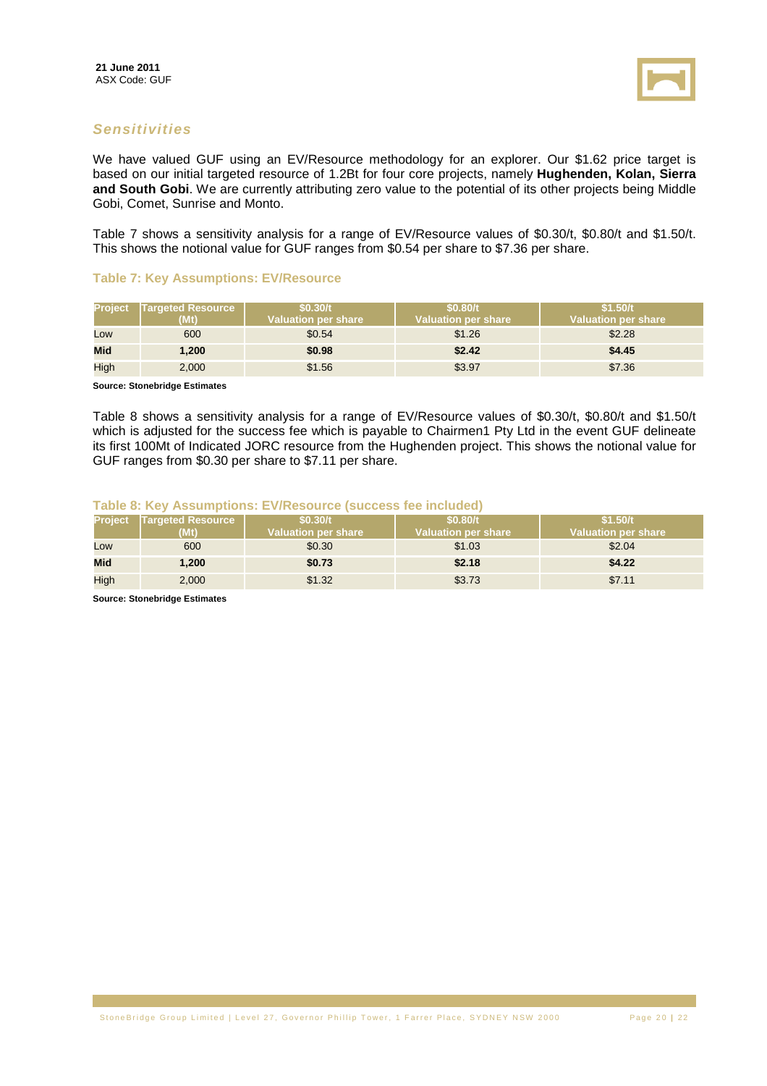

#### **Sensitivities**

We have valued GUF using an EV/Resource methodology for an explorer. Our \$1.62 price target is based on our initial targeted resource of 1.2Bt for four core projects, namely **Hughenden, Kolan, Sierra and South Gobi**. We are currently attributing zero value to the potential of its other projects being Middle Gobi, Comet, Sunrise and Monto.

Table 7 shows a sensitivity analysis for a range of EV/Resource values of \$0.30/t, \$0.80/t and \$1.50/t. This shows the notional value for GUF ranges from \$0.54 per share to \$7.36 per share.

#### **Table 7: Key Assumptions: EV/Resource**

| <b>Project</b> | <b>Targeted Resource</b><br>(Mt) | \$0.30/t<br>Valuation per share \ | \$0.80/t<br>ا Valuation per share\ | \$1.50/t<br><b>Valuation per share</b> |
|----------------|----------------------------------|-----------------------------------|------------------------------------|----------------------------------------|
| Low            | 600                              | \$0.54                            | \$1.26                             | \$2.28                                 |
| <b>Mid</b>     | 1,200                            | \$0.98                            | \$2.42                             | \$4.45                                 |
| High           | 2,000                            | \$1.56                            | \$3.97                             | \$7.36                                 |

**Source: Stonebridge Estimates** 

Table 8 shows a sensitivity analysis for a range of EV/Resource values of \$0.30/t, \$0.80/t and \$1.50/t which is adjusted for the success fee which is payable to Chairmen1 Pty Ltd in the event GUF delineate its first 100Mt of Indicated JORC resource from the Hughenden project. This shows the notional value for GUF ranges from \$0.30 per share to \$7.11 per share.

#### **Table 8: Key Assumptions: EV/Resource (success fee included)**

|            | <b>Project</b> Targeted Resource<br>(Mt) | \$0.30/t<br>Valuation per share | \$0.80/t<br>Valuation per share | \$1.50/t<br><b>Valuation per share</b> |
|------------|------------------------------------------|---------------------------------|---------------------------------|----------------------------------------|
| Low        | 600                                      | \$0.30                          | \$1.03                          | \$2.04                                 |
| <b>Mid</b> | 1,200                                    | \$0.73                          | \$2.18                          | \$4.22                                 |
| High       | 2,000                                    | \$1.32                          | \$3.73                          | \$7.11                                 |

**Source: Stonebridge Estimates**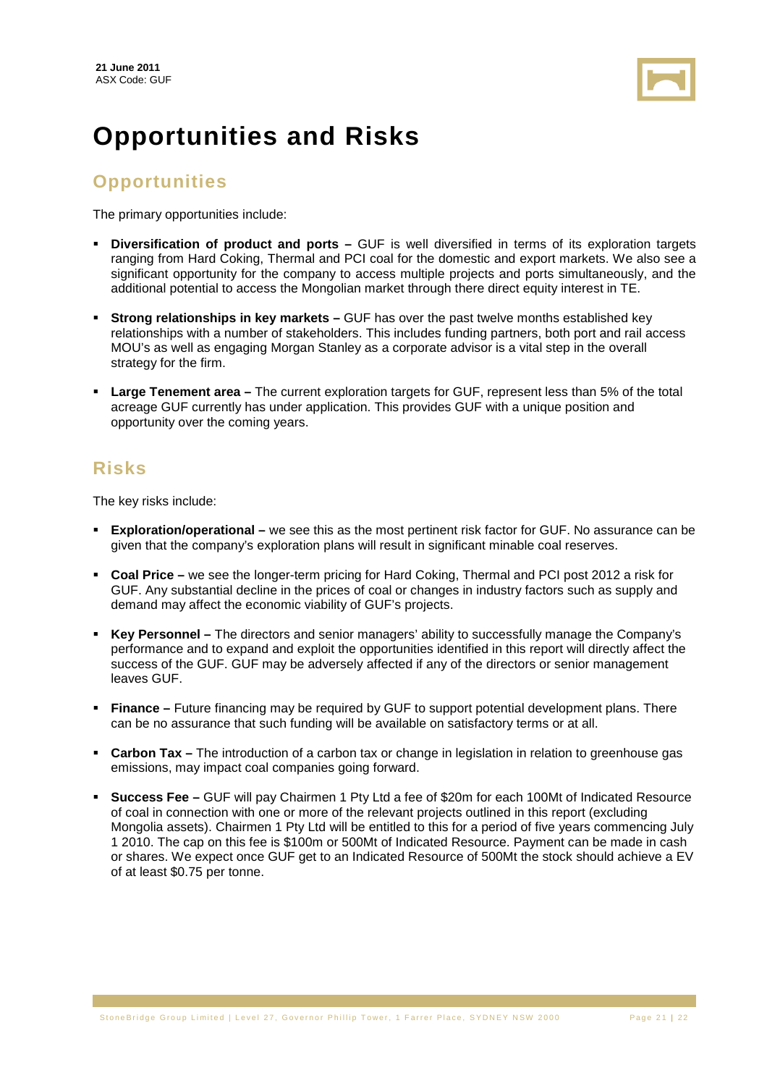

# **Opportunities and Risks**

# **Opportunities**

The primary opportunities include:

- **Diversification of product and ports –** GUF is well diversified in terms of its exploration targets ranging from Hard Coking, Thermal and PCI coal for the domestic and export markets. We also see a significant opportunity for the company to access multiple projects and ports simultaneously, and the additional potential to access the Mongolian market through there direct equity interest in TE.
- **Strong relationships in key markets –** GUF has over the past twelve months established key relationships with a number of stakeholders. This includes funding partners, both port and rail access MOU's as well as engaging Morgan Stanley as a corporate advisor is a vital step in the overall strategy for the firm.
- **Large Tenement area –** The current exploration targets for GUF, represent less than 5% of the total acreage GUF currently has under application. This provides GUF with a unique position and opportunity over the coming years.

# **Risks**

The key risks include:

- **Exploration/operational** we see this as the most pertinent risk factor for GUF. No assurance can be given that the company's exploration plans will result in significant minable coal reserves.
- **Coal Price** we see the longer-term pricing for Hard Coking, Thermal and PCI post 2012 a risk for GUF. Any substantial decline in the prices of coal or changes in industry factors such as supply and demand may affect the economic viability of GUF's projects.
- **Key Personnel** The directors and senior managers' ability to successfully manage the Company's performance and to expand and exploit the opportunities identified in this report will directly affect the success of the GUF. GUF may be adversely affected if any of the directors or senior management leaves GUF.
- **Finance** Future financing may be required by GUF to support potential development plans. There can be no assurance that such funding will be available on satisfactory terms or at all.
- **Carbon Tax** The introduction of a carbon tax or change in legislation in relation to greenhouse gas emissions, may impact coal companies going forward.
- **Success Fee –** GUF will pay Chairmen 1 Pty Ltd a fee of \$20m for each 100Mt of Indicated Resource of coal in connection with one or more of the relevant projects outlined in this report (excluding Mongolia assets). Chairmen 1 Pty Ltd will be entitled to this for a period of five years commencing July 1 2010. The cap on this fee is \$100m or 500Mt of Indicated Resource. Payment can be made in cash or shares. We expect once GUF get to an Indicated Resource of 500Mt the stock should achieve a EV of at least \$0.75 per tonne.